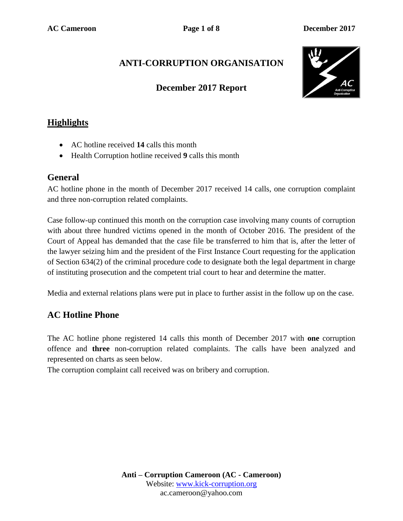# **ANTI-CORRUPTION ORGANISATION**

### **December 2017 Report**



## **Highlights**

- AC hotline received **14** calls this month
- Health Corruption hotline received **9** calls this month

### **General**

AC hotline phone in the month of December 2017 received 14 calls, one corruption complaint and three non-corruption related complaints.

Case follow-up continued this month on the corruption case involving many counts of corruption with about three hundred victims opened in the month of October 2016. The president of the Court of Appeal has demanded that the case file be transferred to him that is, after the letter of the lawyer seizing him and the president of the First Instance Court requesting for the application of Section 634(2) of the criminal procedure code to designate both the legal department in charge of instituting prosecution and the competent trial court to hear and determine the matter.

Media and external relations plans were put in place to further assist in the follow up on the case.

### **AC Hotline Phone**

The AC hotline phone registered 14 calls this month of December 2017 with **one** corruption offence and **three** non-corruption related complaints. The calls have been analyzed and represented on charts as seen below.

The corruption complaint call received was on bribery and corruption.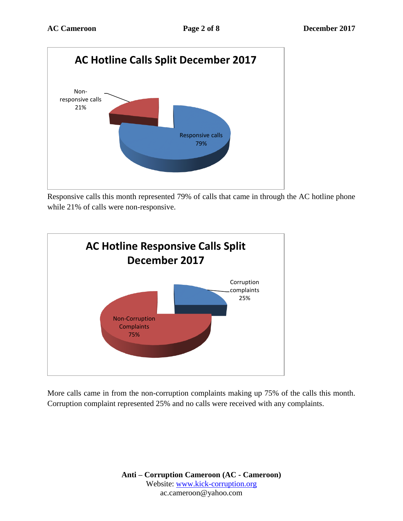

Responsive calls this month represented 79% of calls that came in through the AC hotline phone while 21% of calls were non-responsive.



More calls came in from the non-corruption complaints making up 75% of the calls this month. Corruption complaint represented 25% and no calls were received with any complaints.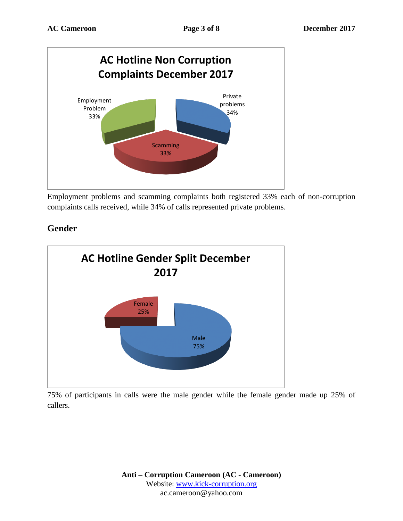

Employment problems and scamming complaints both registered 33% each of non-corruption complaints calls received, while 34% of calls represented private problems.

## **Gender**



75% of participants in calls were the male gender while the female gender made up 25% of callers.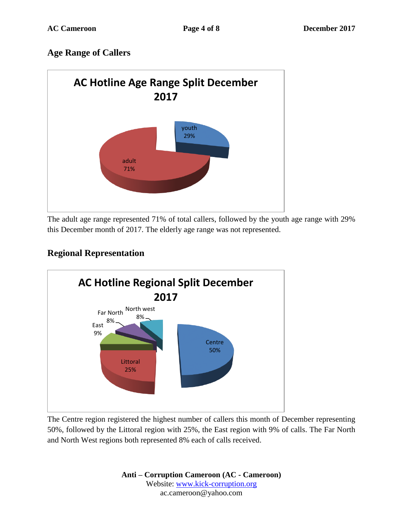## **Age Range of Callers**



The adult age range represented 71% of total callers, followed by the youth age range with 29% this December month of 2017. The elderly age range was not represented.

## **Regional Representation**



The Centre region registered the highest number of callers this month of December representing 50%, followed by the Littoral region with 25%, the East region with 9% of calls. The Far North and North West regions both represented 8% each of calls received.

> **Anti – Corruption Cameroon (AC - Cameroon)** Website: [www.kick-corruption.org](http://www.kick-corruption.org/) ac.cameroon@yahoo.com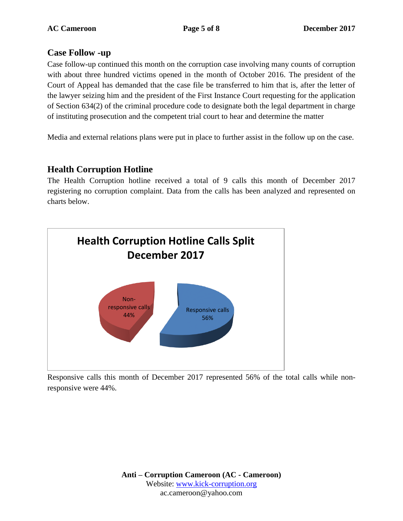#### **Case Follow -up**

Case follow-up continued this month on the corruption case involving many counts of corruption with about three hundred victims opened in the month of October 2016. The president of the Court of Appeal has demanded that the case file be transferred to him that is, after the letter of the lawyer seizing him and the president of the First Instance Court requesting for the application of Section 634(2) of the criminal procedure code to designate both the legal department in charge of instituting prosecution and the competent trial court to hear and determine the matter

Media and external relations plans were put in place to further assist in the follow up on the case.

## **Health Corruption Hotline**

The Health Corruption hotline received a total of 9 calls this month of December 2017 registering no corruption complaint. Data from the calls has been analyzed and represented on charts below.



Responsive calls this month of December 2017 represented 56% of the total calls while nonresponsive were 44%.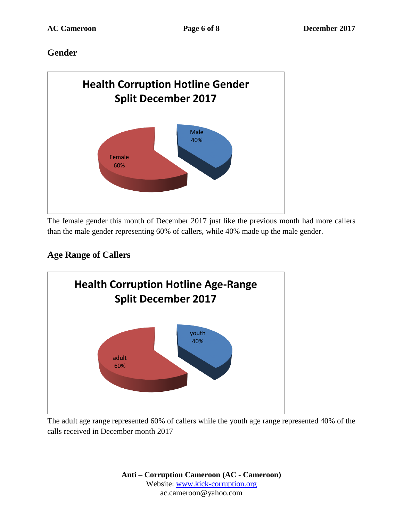## **Gender**



The female gender this month of December 2017 just like the previous month had more callers than the male gender representing 60% of callers, while 40% made up the male gender.

# **Age Range of Callers**



The adult age range represented 60% of callers while the youth age range represented 40% of the calls received in December month 2017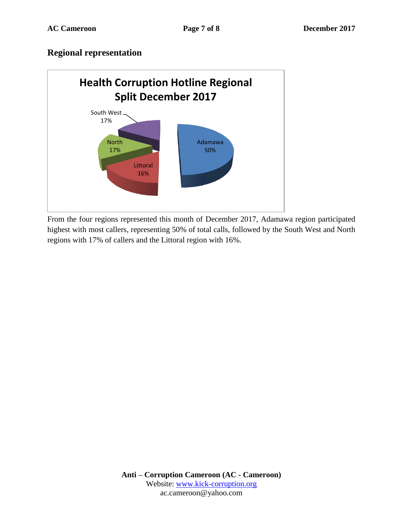### **Regional representation**



From the four regions represented this month of December 2017, Adamawa region participated highest with most callers, representing 50% of total calls, followed by the South West and North regions with 17% of callers and the Littoral region with 16%.